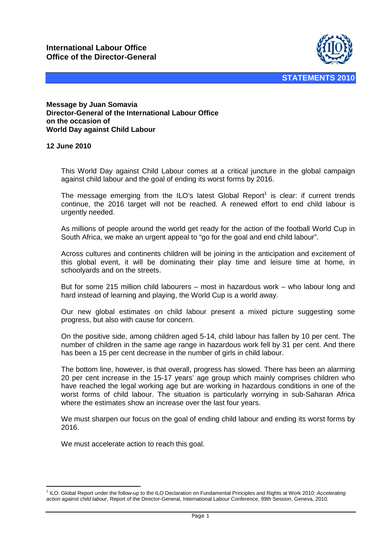

**Message by Juan Somavia Director-General of the International Labour Office on the occasion of World Day against Child Labour** 

## **12 June 2010**

This World Day against Child Labour comes at a critical juncture in the global campaign against child labour and the goal of ending its worst forms by 2016.

The message emerging from the ILO's latest Global Report<sup>1</sup> is clear: if current trends continue, the 2016 target will not be reached. A renewed effort to end child labour is urgently needed.

As millions of people around the world get ready for the action of the football World Cup in South Africa, we make an urgent appeal to "go for the goal and end child labour".

Across cultures and continents children will be joining in the anticipation and excitement of this global event, it will be dominating their play time and leisure time at home, in schoolyards and on the streets.

But for some 215 million child labourers – most in hazardous work – who labour long and hard instead of learning and playing, the World Cup is a world away.

Our new global estimates on child labour present a mixed picture suggesting some progress, but also with cause for concern.

On the positive side, among children aged 5-14, child labour has fallen by 10 per cent. The number of children in the same age range in hazardous work fell by 31 per cent. And there has been a 15 per cent decrease in the number of girls in child labour.

The bottom line, however, is that overall, progress has slowed. There has been an alarming 20 per cent increase in the 15-17 years' age group which mainly comprises children who have reached the legal working age but are working in hazardous conditions in one of the worst forms of child labour. The situation is particularly worrying in sub-Saharan Africa where the estimates show an increase over the last four years.

We must sharpen our focus on the goal of ending child labour and ending its worst forms by 2016.

We must accelerate action to reach this goal.

 $\overline{a}$ <sup>1</sup> ILO: Global Report under the follow-up to the ILO Declaration on Fundamental Principles and Rights at Work 2010: Accelerating action against child labour, Report of the Director-General, International Labour Conference, 99th Session, Geneva, 2010.